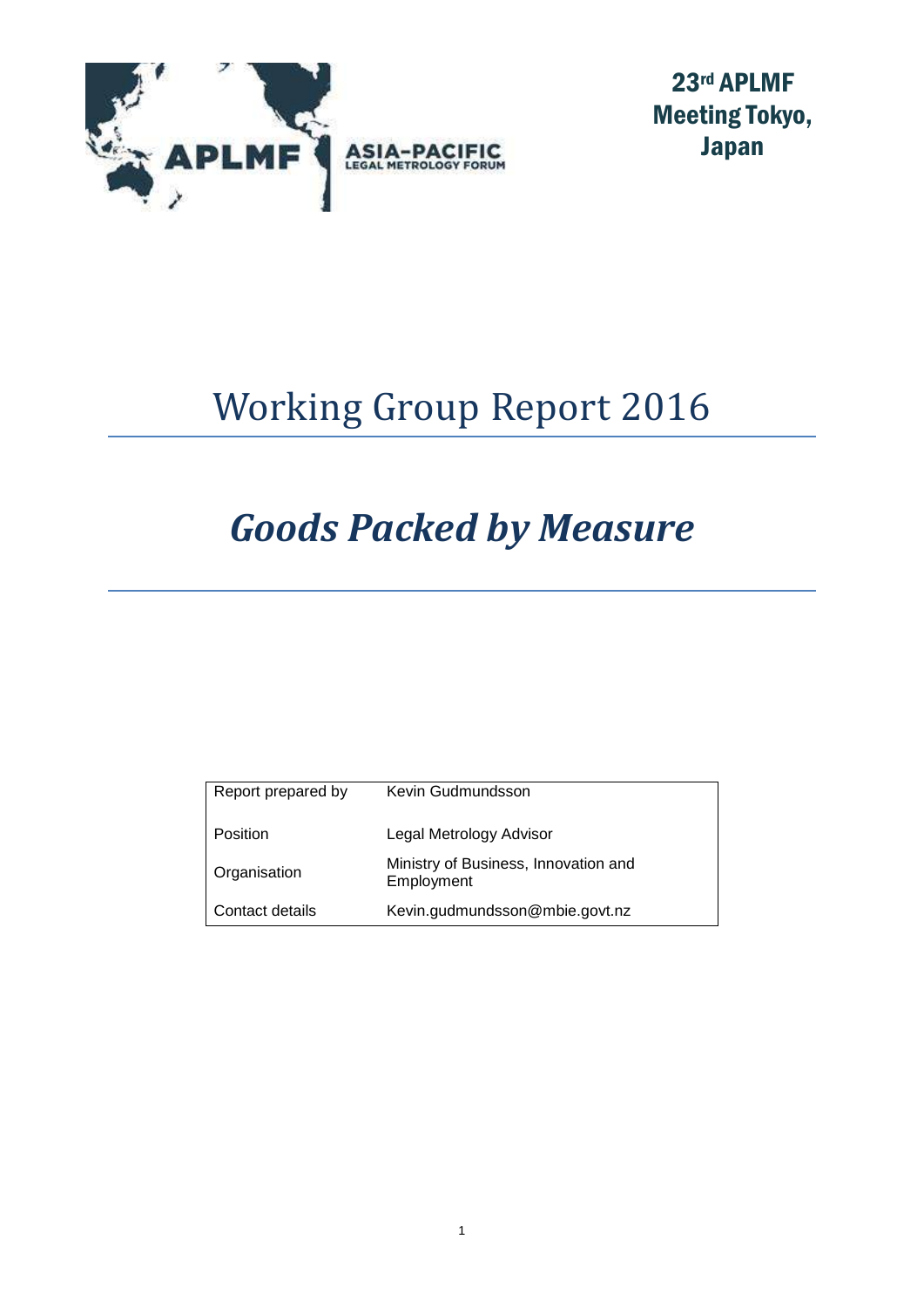

23rd APLMF Meeting Tokyo, Japan

# Working Group Report 2016

# *Goods Packed by Measure*

| Report prepared by | Kevin Gudmundsson                                  |
|--------------------|----------------------------------------------------|
| Position           | Legal Metrology Advisor                            |
| Organisation       | Ministry of Business, Innovation and<br>Employment |
| Contact details    | Kevin.gudmundsson@mbie.govt.nz                     |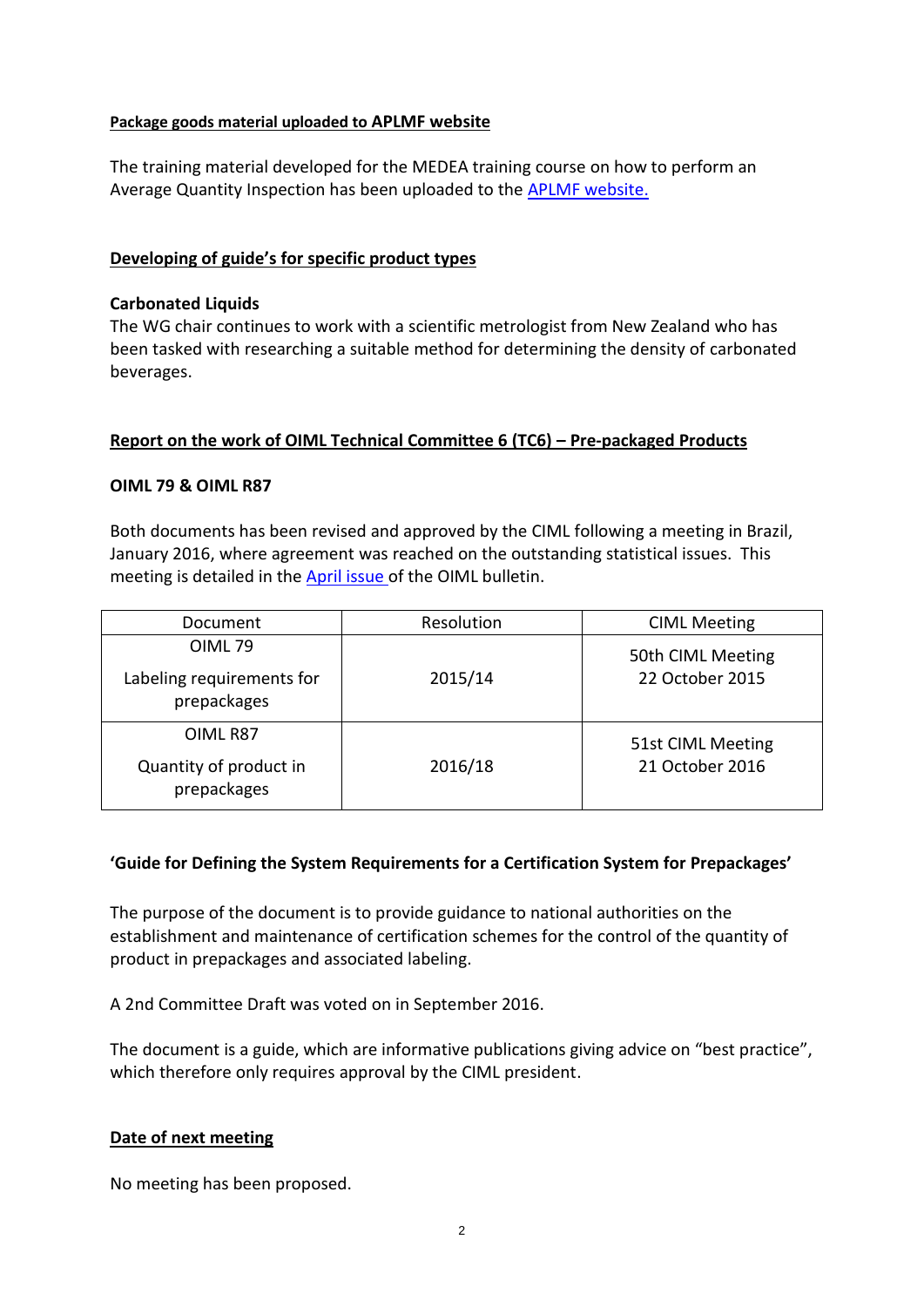#### **Package goods material uploaded to APLMF website**

The training material developed for the MEDEA training course on how to perform an Average Quantity Inspection has been uploaded to the [APLMF website.](http://www.aplmf.org/goods-packed-by-measure1.html) 

#### **Developing of guide's for specific product types**

#### **Carbonated Liquids**

The WG chair continues to work with a scientific metrologist from New Zealand who has been tasked with researching a suitable method for determining the density of carbonated beverages.

### **Report on the work of OIML Technical Committee 6 (TC6) – Pre-packaged Products**

### **OIML 79 & OIML R87**

Both documents has been revised and approved by the CIML following a meeting in Brazil, January 2016, where agreement was reached on the outstanding statistical issues. This meeting is detailed in the **April issue** of the OIML bulletin.

| Document                                                  | Resolution | <b>CIML Meeting</b>                  |
|-----------------------------------------------------------|------------|--------------------------------------|
| <b>OIML79</b><br>Labeling requirements for<br>prepackages | 2015/14    | 50th CIML Meeting<br>22 October 2015 |
| OIML R87<br>Quantity of product in<br>prepackages         | 2016/18    | 51st CIML Meeting<br>21 October 2016 |

## **'Guide for Defining the System Requirements for a Certification System for Prepackages'**

The purpose of the document is to provide guidance to national authorities on the establishment and maintenance of certification schemes for the control of the quantity of product in prepackages and associated labeling.

A 2nd Committee Draft was voted on in September 2016.

The document is a guide, which are informative publications giving advice on "best practice", which therefore only requires approval by the CIML president.

#### **Date of next meeting**

No meeting has been proposed.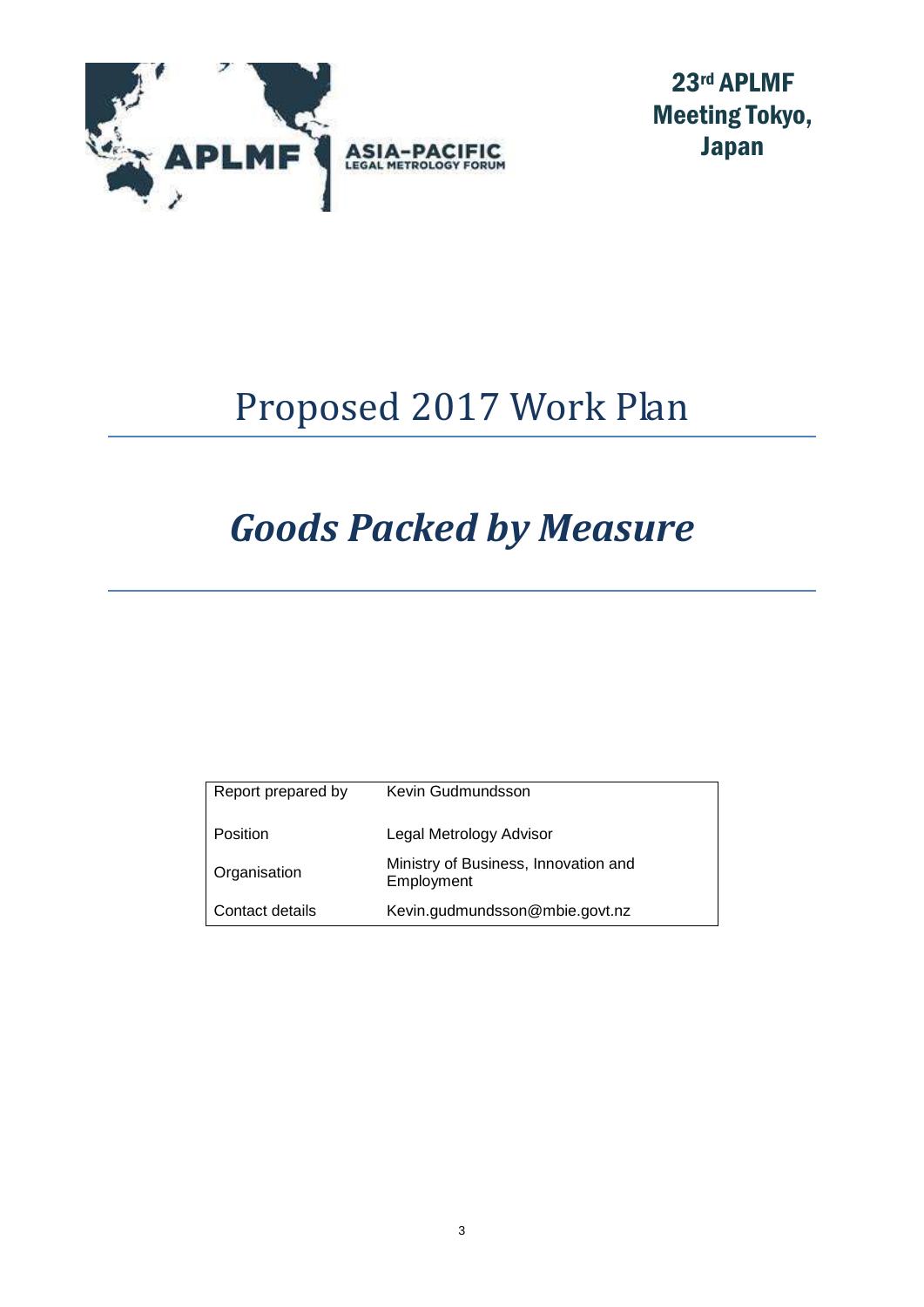

23rd APLMF Meeting Tokyo, Japan

# Proposed 2017 Work Plan

# *Goods Packed by Measure*

| Report prepared by | Kevin Gudmundsson                                  |
|--------------------|----------------------------------------------------|
| Position           | Legal Metrology Advisor                            |
| Organisation       | Ministry of Business, Innovation and<br>Employment |
| Contact details    | Kevin.gudmundsson@mbie.govt.nz                     |